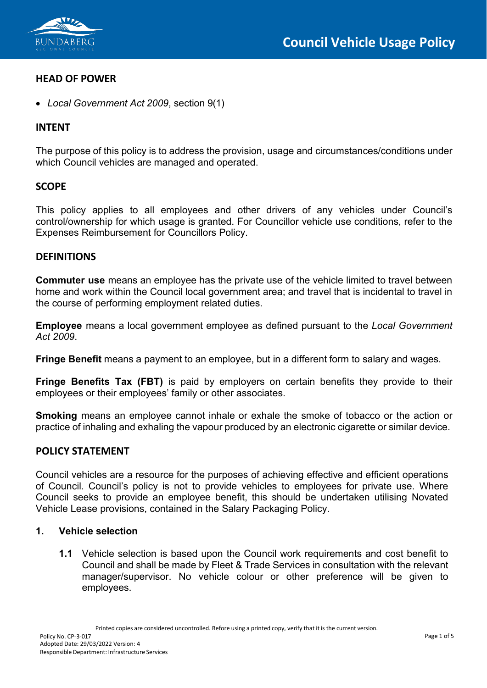

## **HEAD OF POWER**

• *Local Government Act 2009*, section 9(1)

## **INTENT**

The purpose of this policy is to address the provision, usage and circumstances/conditions under which Council vehicles are managed and operated.

#### **SCOPE**

This policy applies to all employees and other drivers of any vehicles under Council's control/ownership for which usage is granted. For Councillor vehicle use conditions, refer to the Expenses Reimbursement for Councillors Policy.

## **DEFINITIONS**

**Commuter use** means an employee has the private use of the vehicle limited to travel between home and work within the Council local government area; and travel that is incidental to travel in the course of performing employment related duties.

**Employee** means a local government employee as defined pursuant to the *Local Government Act 2009*.

**Fringe Benefit** means a payment to an employee, but in a different form to salary and wages.

**Fringe Benefits Tax (FBT)** is paid by employers on certain benefits they provide to their employees or their employees' family or other associates.

**Smoking** means an employee cannot inhale or exhale the smoke of tobacco or the action or practice of inhaling and exhaling the vapour produced by an electronic cigarette or similar device.

## **POLICY STATEMENT**

Council vehicles are a resource for the purposes of achieving effective and efficient operations of Council. Council's policy is not to provide vehicles to employees for private use. Where Council seeks to provide an employee benefit, this should be undertaken utilising Novated Vehicle Lease provisions, contained in the Salary Packaging Policy.

#### **1. Vehicle selection**

**1.1** Vehicle selection is based upon the Council work requirements and cost benefit to Council and shall be made by Fleet & Trade Services in consultation with the relevant manager/supervisor. No vehicle colour or other preference will be given to employees.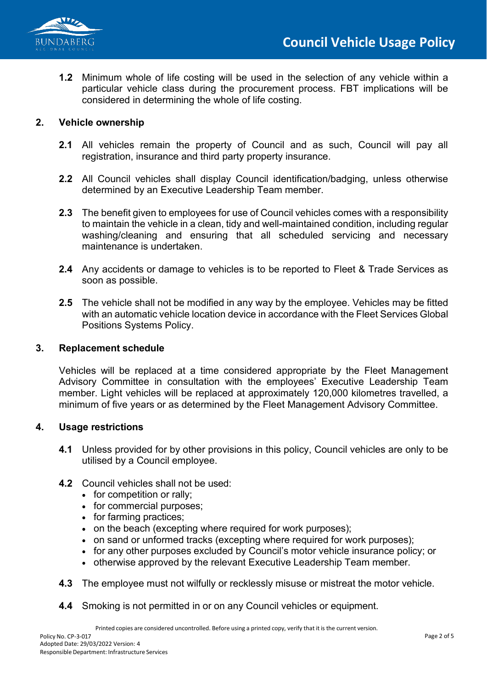



**1.2** Minimum whole of life costing will be used in the selection of any vehicle within a particular vehicle class during the procurement process. FBT implications will be considered in determining the whole of life costing.

#### **2. Vehicle ownership**

- **2.1** All vehicles remain the property of Council and as such, Council will pay all registration, insurance and third party property insurance.
- **2.2** All Council vehicles shall display Council identification/badging, unless otherwise determined by an Executive Leadership Team member.
- **2.3** The benefit given to employees for use of Council vehicles comes with a responsibility to maintain the vehicle in a clean, tidy and well-maintained condition, including regular washing/cleaning and ensuring that all scheduled servicing and necessary maintenance is undertaken.
- **2.4** Any accidents or damage to vehicles is to be reported to Fleet & Trade Services as soon as possible.
- **2.5** The vehicle shall not be modified in any way by the employee. Vehicles may be fitted with an automatic vehicle location device in accordance with the Fleet Services Global Positions Systems Policy.

#### **3. Replacement schedule**

Vehicles will be replaced at a time considered appropriate by the Fleet Management Advisory Committee in consultation with the employees' Executive Leadership Team member. Light vehicles will be replaced at approximately 120,000 kilometres travelled, a minimum of five years or as determined by the Fleet Management Advisory Committee.

#### **4. Usage restrictions**

**4.1** Unless provided for by other provisions in this policy, Council vehicles are only to be utilised by a Council employee.

#### **4.2** Council vehicles shall not be used:

- for competition or rally;
- for commercial purposes;
- for farming practices;
- on the beach (excepting where required for work purposes);
- on sand or unformed tracks (excepting where required for work purposes);
- for any other purposes excluded by Council's motor vehicle insurance policy; or
- otherwise approved by the relevant Executive Leadership Team member.
- **4.3** The employee must not wilfully or recklessly misuse or mistreat the motor vehicle.
- **4.4** Smoking is not permitted in or on any Council vehicles or equipment.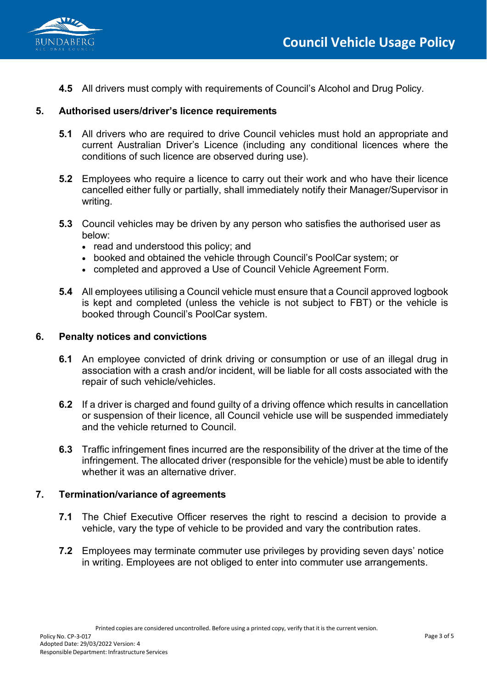

**4.5** All drivers must comply with requirements of Council's Alcohol and Drug Policy.

### **5. Authorised users/driver's licence requirements**

- **5.1** All drivers who are required to drive Council vehicles must hold an appropriate and current Australian Driver's Licence (including any conditional licences where the conditions of such licence are observed during use).
- **5.2** Employees who require a licence to carry out their work and who have their licence cancelled either fully or partially, shall immediately notify their Manager/Supervisor in writing.
- **5.3** Council vehicles may be driven by any person who satisfies the authorised user as below:
	- read and understood this policy; and
	- booked and obtained the vehicle through Council's PoolCar system; or
	- completed and approved a Use of Council Vehicle Agreement Form.
- **5.4** All employees utilising a Council vehicle must ensure that a Council approved logbook is kept and completed (unless the vehicle is not subject to FBT) or the vehicle is booked through Council's PoolCar system.

#### **6. Penalty notices and convictions**

- **6.1** An employee convicted of drink driving or consumption or use of an illegal drug in association with a crash and/or incident, will be liable for all costs associated with the repair of such vehicle/vehicles.
- **6.2** If a driver is charged and found guilty of a driving offence which results in cancellation or suspension of their licence, all Council vehicle use will be suspended immediately and the vehicle returned to Council.
- **6.3** Traffic infringement fines incurred are the responsibility of the driver at the time of the infringement. The allocated driver (responsible for the vehicle) must be able to identify whether it was an alternative driver.

#### **7. Termination/variance of agreements**

- **7.1** The Chief Executive Officer reserves the right to rescind a decision to provide a vehicle, vary the type of vehicle to be provided and vary the contribution rates.
- **7.2** Employees may terminate commuter use privileges by providing seven days' notice in writing. Employees are not obliged to enter into commuter use arrangements.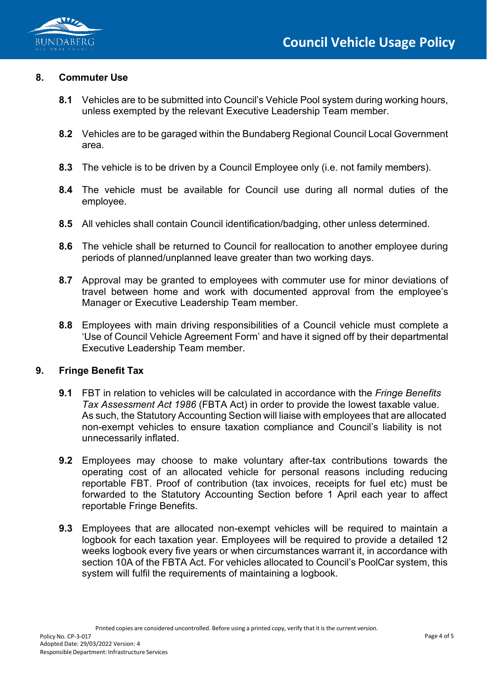

#### **8. Commuter Use**

- **8.1** Vehicles are to be submitted into Council's Vehicle Pool system during working hours, unless exempted by the relevant Executive Leadership Team member.
- **8.2** Vehicles are to be garaged within the Bundaberg Regional Council Local Government area.
- **8.3** The vehicle is to be driven by a Council Employee only (i.e. not family members).
- **8.4** The vehicle must be available for Council use during all normal duties of the employee.
- **8.5** All vehicles shall contain Council identification/badging, other unless determined.
- **8.6** The vehicle shall be returned to Council for reallocation to another employee during periods of planned/unplanned leave greater than two working days.
- **8.7** Approval may be granted to employees with commuter use for minor deviations of travel between home and work with documented approval from the employee's Manager or Executive Leadership Team member.
- **8.8** Employees with main driving responsibilities of a Council vehicle must complete a 'Use of Council Vehicle Agreement Form' and have it signed off by their departmental Executive Leadership Team member.

#### **9. Fringe Benefit Tax**

- **9.1** FBT in relation to vehicles will be calculated in accordance with the *Fringe Benefits Tax Assessment Act 1986* (FBTA Act) in order to provide the lowest taxable value. As such, the Statutory Accounting Section will liaise with employees that are allocated non-exempt vehicles to ensure taxation compliance and Council's liability is not unnecessarily inflated.
- **9.2** Employees may choose to make voluntary after-tax contributions towards the operating cost of an allocated vehicle for personal reasons including reducing reportable FBT. Proof of contribution (tax invoices, receipts for fuel etc) must be forwarded to the Statutory Accounting Section before 1 April each year to affect reportable Fringe Benefits.
- **9.3** Employees that are allocated non-exempt vehicles will be required to maintain a logbook for each taxation year. Employees will be required to provide a detailed 12 weeks logbook every five years or when circumstances warrant it, in accordance with section 10A of the FBTA Act. For vehicles allocated to Council's PoolCar system, this system will fulfil the requirements of maintaining a logbook.